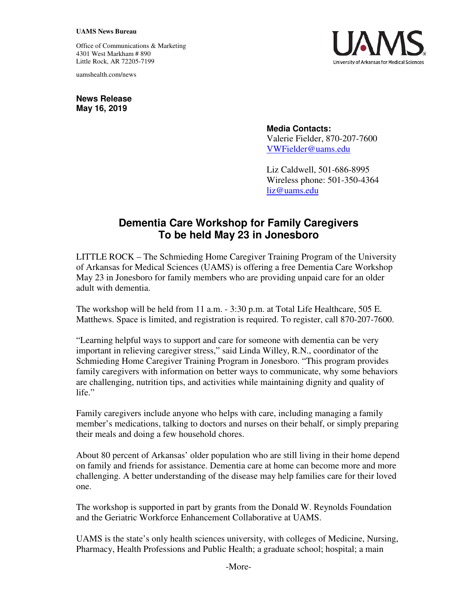## **UAMS News Bureau**

Office of Communications & Marketing 4301 West Markham # 890 Little Rock, AR 72205-7199

uamshealth.com/news



**News Release May 16, 2019** 

> **Media Contacts:** Valerie Fielder, 870-207-7600 VWFielder@uams.edu

Liz Caldwell, 501-686-8995 Wireless phone: 501-350-4364 [liz@uams.edu](mailto:liz@uams.edu)

## **Dementia Care Workshop for Family Caregivers To be held May 23 in Jonesboro**

LITTLE ROCK – The Schmieding Home Caregiver Training Program of the University of Arkansas for Medical Sciences (UAMS) is offering a free Dementia Care Workshop May 23 in Jonesboro for family members who are providing unpaid care for an older adult with dementia.

The workshop will be held from 11 a.m. - 3:30 p.m. at Total Life Healthcare, 505 E. Matthews. Space is limited, and registration is required. To register, call 870-207-7600.

"Learning helpful ways to support and care for someone with dementia can be very important in relieving caregiver stress," said Linda Willey, R.N., coordinator of the Schmieding Home Caregiver Training Program in Jonesboro. "This program provides family caregivers with information on better ways to communicate, why some behaviors are challenging, nutrition tips, and activities while maintaining dignity and quality of life."

Family caregivers include anyone who helps with care, including managing a family member's medications, talking to doctors and nurses on their behalf, or simply preparing their meals and doing a few household chores.

About 80 percent of Arkansas' older population who are still living in their home depend on family and friends for assistance. Dementia care at home can become more and more challenging. A better understanding of the disease may help families care for their loved one.

The workshop is supported in part by grants from the Donald W. Reynolds Foundation and the Geriatric Workforce Enhancement Collaborative at UAMS.

UAMS is the state's only health sciences university, with colleges of Medicine, Nursing, Pharmacy, Health Professions and Public Health; a graduate school; hospital; a main